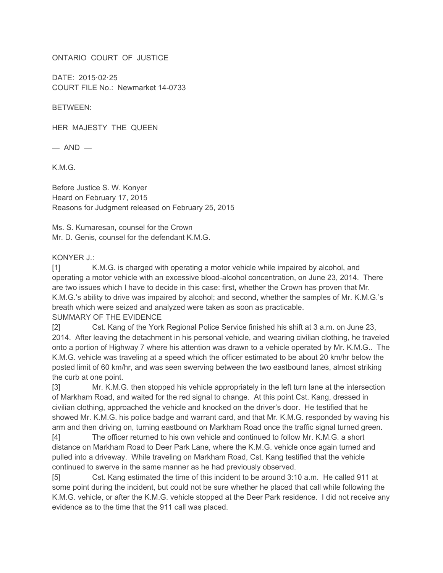ONTARIO COURT OF JUSTICE

DATE: 2015·02·25 COURT FILE No.: Newmarket 14-0733

BETWEEN:

HER MAJESTY THE QUEEN

 $-$  AND  $-$ 

K.M.G.

Before Justice S. W. Konyer Heard on February 17, 2015 Reasons for Judgment released on February 25, 2015

Ms. S. Kumaresan, counsel for the Crown Mr. D. Genis, counsel for the defendant K.M.G.

## KONYER J.:

[1] K.M.G. is charged with operating a motor vehicle while impaired by alcohol, and operating a motor vehicle with an excessive blood-alcohol concentration, on June 23, 2014. There are two issues which I have to decide in this case: first, whether the Crown has proven that Mr. K.M.G.'s ability to drive was impaired by alcohol; and second, whether the samples of Mr. K.M.G.'s breath which were seized and analyzed were taken as soon as practicable. SUMMARY OF THE EVIDENCE

[2] Cst. Kang of the York Regional Police Service finished his shift at 3 a.m. on June 23, 2014. After leaving the detachment in his personal vehicle, and wearing civilian clothing, he traveled onto a portion of Highway 7 where his attention was drawn to a vehicle operated by Mr. K.M.G.. The K.M.G. vehicle was traveling at a speed which the officer estimated to be about 20 km/hr below the posted limit of 60 km/hr, and was seen swerving between the two eastbound lanes, almost striking the curb at one point.

[3] Mr. K.M.G. then stopped his vehicle appropriately in the left turn lane at the intersection of Markham Road, and waited for the red signal to change. At this point Cst. Kang, dressed in civilian clothing, approached the vehicle and knocked on the driver's door. He testified that he showed Mr. K.M.G. his police badge and warrant card, and that Mr. K.M.G. responded by waving his arm and then driving on, turning eastbound on Markham Road once the traffic signal turned green.

[4] The officer returned to his own vehicle and continued to follow Mr. K.M.G. a short distance on Markham Road to Deer Park Lane, where the K.M.G. vehicle once again turned and pulled into a driveway. While traveling on Markham Road, Cst. Kang testified that the vehicle continued to swerve in the same manner as he had previously observed.

[5] Cst. Kang estimated the time of this incident to be around 3:10 a.m. He called 911 at some point during the incident, but could not be sure whether he placed that call while following the K.M.G. vehicle, or after the K.M.G. vehicle stopped at the Deer Park residence. I did not receive any evidence as to the time that the 911 call was placed.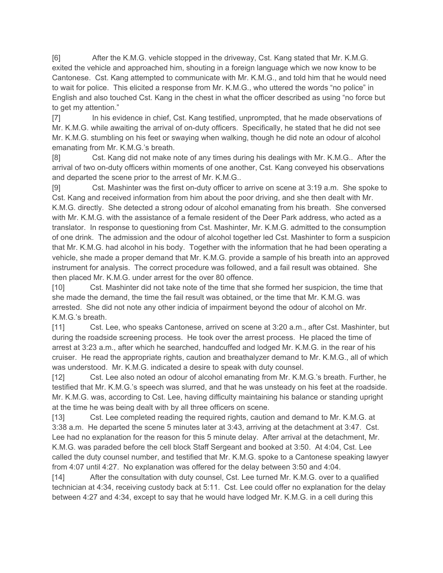[6] After the K.M.G. vehicle stopped in the driveway, Cst. Kang stated that Mr. K.M.G. exited the vehicle and approached him, shouting in a foreign language which we now know to be Cantonese. Cst. Kang attempted to communicate with Mr. K.M.G., and told him that he would need to wait for police. This elicited a response from Mr. K.M.G., who uttered the words "no police" in English and also touched Cst. Kang in the chest in what the officer described as using "no force but to get my attention."

[7] In his evidence in chief, Cst. Kang testified, unprompted, that he made observations of Mr. K.M.G. while awaiting the arrival of on-duty officers. Specifically, he stated that he did not see Mr. K.M.G. stumbling on his feet or swaying when walking, though he did note an odour of alcohol emanating from Mr. K.M.G.'s breath.

[8] Cst. Kang did not make note of any times during his dealings with Mr. K.M.G.. After the arrival of two on-duty officers within moments of one another, Cst. Kang conveyed his observations and departed the scene prior to the arrest of Mr. K.M.G..

[9] Cst. Mashinter was the first on-duty officer to arrive on scene at 3:19 a.m. She spoke to Cst. Kang and received information from him about the poor driving, and she then dealt with Mr. K.M.G. directly. She detected a strong odour of alcohol emanating from his breath. She conversed with Mr. K.M.G. with the assistance of a female resident of the Deer Park address, who acted as a translator. In response to questioning from Cst. Mashinter, Mr. K.M.G. admitted to the consumption of one drink. The admission and the odour of alcohol together led Cst. Mashinter to form a suspicion that Mr. K.M.G. had alcohol in his body. Together with the information that he had been operating a vehicle, she made a proper demand that Mr. K.M.G. provide a sample of his breath into an approved instrument for analysis. The correct procedure was followed, and a fail result was obtained. She then placed Mr. K.M.G. under arrest for the over 80 offence.

[10] Cst. Mashinter did not take note of the time that she formed her suspicion, the time that she made the demand, the time the fail result was obtained, or the time that Mr. K.M.G. was arrested. She did not note any other indicia of impairment beyond the odour of alcohol on Mr. K.M.G.'s breath.

[11] Cst. Lee, who speaks Cantonese, arrived on scene at 3:20 a.m., after Cst. Mashinter, but during the roadside screening process. He took over the arrest process. He placed the time of arrest at 3:23 a.m., after which he searched, handcuffed and lodged Mr. K.M.G. in the rear of his cruiser. He read the appropriate rights, caution and breathalyzer demand to Mr. K.M.G., all of which was understood. Mr. K.M.G. indicated a desire to speak with duty counsel.

[12] Cst. Lee also noted an odour of alcohol emanating from Mr. K.M.G.'s breath. Further, he testified that Mr. K.M.G.'s speech was slurred, and that he was unsteady on his feet at the roadside. Mr. K.M.G. was, according to Cst. Lee, having difficulty maintaining his balance or standing upright at the time he was being dealt with by all three officers on scene.

[13] Cst. Lee completed reading the required rights, caution and demand to Mr. K.M.G. at 3:38 a.m. He departed the scene 5 minutes later at 3:43, arriving at the detachment at 3:47. Cst. Lee had no explanation for the reason for this 5 minute delay. After arrival at the detachment, Mr. K.M.G. was paraded before the cell block Staff Sergeant and booked at 3:50. At 4:04, Cst. Lee called the duty counsel number, and testified that Mr. K.M.G. spoke to a Cantonese speaking lawyer from 4:07 until 4:27. No explanation was offered for the delay between 3:50 and 4:04.

[14] After the consultation with duty counsel, Cst. Lee turned Mr. K.M.G. over to a qualified technician at 4:34, receiving custody back at 5:11. Cst. Lee could offer no explanation for the delay between 4:27 and 4:34, except to say that he would have lodged Mr. K.M.G. in a cell during this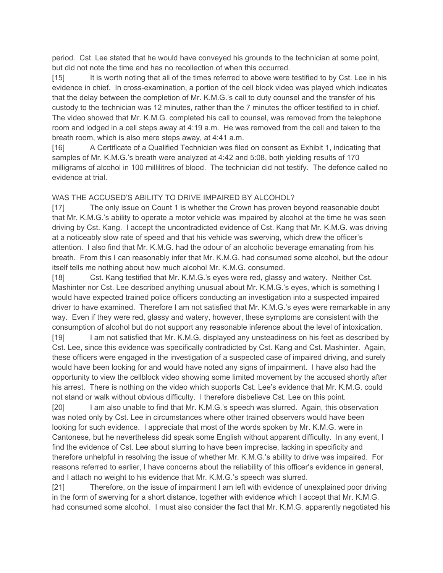period. Cst. Lee stated that he would have conveyed his grounds to the technician at some point, but did not note the time and has no recollection of when this occurred.

[15] It is worth noting that all of the times referred to above were testified to by Cst. Lee in his evidence in chief. In cross-examination, a portion of the cell block video was played which indicates that the delay between the completion of Mr. K.M.G.'s call to duty counsel and the transfer of his custody to the technician was 12 minutes, rather than the 7 minutes the officer testified to in chief. The video showed that Mr. K.M.G. completed his call to counsel, was removed from the telephone room and lodged in a cell steps away at 4:19 a.m. He was removed from the cell and taken to the breath room, which is also mere steps away, at 4:41 a.m.

[16] A Certificate of a Qualified Technician was filed on consent as Exhibit 1, indicating that samples of Mr. K.M.G.'s breath were analyzed at 4:42 and 5:08, both yielding results of 170 milligrams of alcohol in 100 millilitres of blood. The technician did not testify. The defence called no evidence at trial.

## WAS THE ACCUSED'S ABILITY TO DRIVE IMPAIRED BY ALCOHOL?

[17] The only issue on Count 1 is whether the Crown has proven beyond reasonable doubt that Mr. K.M.G.'s ability to operate a motor vehicle was impaired by alcohol at the time he was seen driving by Cst. Kang. I accept the uncontradicted evidence of Cst. Kang that Mr. K.M.G. was driving at a noticeably slow rate of speed and that his vehicle was swerving, which drew the officer's attention. I also find that Mr. K.M.G. had the odour of an alcoholic beverage emanating from his breath. From this I can reasonably infer that Mr. K.M.G. had consumed some alcohol, but the odour itself tells me nothing about how much alcohol Mr. K.M.G. consumed.

[18] Cst. Kang testified that Mr. K.M.G.'s eyes were red, glassy and watery. Neither Cst. Mashinter nor Cst. Lee described anything unusual about Mr. K.M.G.'s eyes, which is something I would have expected trained police officers conducting an investigation into a suspected impaired driver to have examined. Therefore I am not satisfied that Mr. K.M.G.'s eyes were remarkable in any way. Even if they were red, glassy and watery, however, these symptoms are consistent with the consumption of alcohol but do not support any reasonable inference about the level of intoxication.

[19] I am not satisfied that Mr. K.M.G. displayed any unsteadiness on his feet as described by Cst. Lee, since this evidence was specifically contradicted by Cst. Kang and Cst. Mashinter. Again, these officers were engaged in the investigation of a suspected case of impaired driving, and surely would have been looking for and would have noted any signs of impairment. I have also had the opportunity to view the cellblock video showing some limited movement by the accused shortly after his arrest. There is nothing on the video which supports Cst. Lee's evidence that Mr. K.M.G. could not stand or walk without obvious difficulty. I therefore disbelieve Cst. Lee on this point.

[20] I am also unable to find that Mr. K.M.G.'s speech was slurred. Again, this observation was noted only by Cst. Lee in circumstances where other trained observers would have been looking for such evidence. I appreciate that most of the words spoken by Mr. K.M.G. were in Cantonese, but he nevertheless did speak some English without apparent difficulty. In any event, I find the evidence of Cst. Lee about slurring to have been imprecise, lacking in specificity and therefore unhelpful in resolving the issue of whether Mr. K.M.G.'s ability to drive was impaired. For reasons referred to earlier, I have concerns about the reliability of this officer's evidence in general, and I attach no weight to his evidence that Mr. K.M.G.'s speech was slurred.

[21] Therefore, on the issue of impairment I am left with evidence of unexplained poor driving in the form of swerving for a short distance, together with evidence which I accept that Mr. K.M.G. had consumed some alcohol. I must also consider the fact that Mr. K.M.G. apparently negotiated his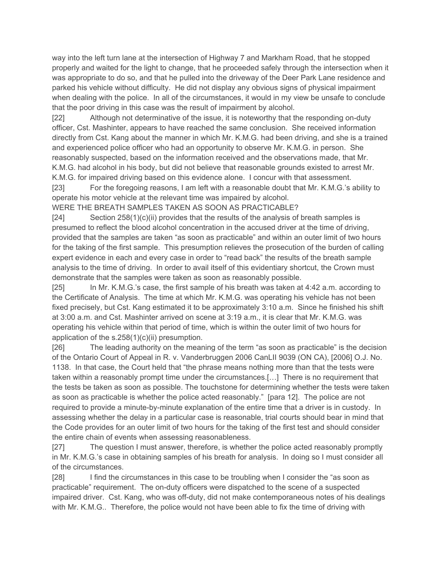way into the left turn lane at the intersection of Highway 7 and Markham Road, that he stopped properly and waited for the light to change, that he proceeded safely through the intersection when it was appropriate to do so, and that he pulled into the driveway of the Deer Park Lane residence and parked his vehicle without difficulty. He did not display any obvious signs of physical impairment when dealing with the police. In all of the circumstances, it would in my view be unsafe to conclude that the poor driving in this case was the result of impairment by alcohol.

[22] Although not determinative of the issue, it is noteworthy that the responding on-duty officer, Cst. Mashinter, appears to have reached the same conclusion. She received information directly from Cst. Kang about the manner in which Mr. K.M.G. had been driving, and she is a trained and experienced police officer who had an opportunity to observe Mr. K.M.G. in person. She reasonably suspected, based on the information received and the observations made, that Mr. K.M.G. had alcohol in his body, but did not believe that reasonable grounds existed to arrest Mr. K.M.G. for impaired driving based on this evidence alone. I concur with that assessment.

[23] For the foregoing reasons, I am left with a reasonable doubt that Mr. K.M.G.'s ability to operate his motor vehicle at the relevant time was impaired by alcohol.

WERE THE BREATH SAMPLES TAKEN AS SOON AS PRACTICABLE?

 $[24]$  Section  $258(1)(c)(ii)$  provides that the results of the analysis of breath samples is presumed to reflect the blood alcohol concentration in the accused driver at the time of driving, provided that the samples are taken "as soon as practicable" and within an outer limit of two hours for the taking of the first sample. This presumption relieves the prosecution of the burden of calling expert evidence in each and every case in order to "read back" the results of the breath sample analysis to the time of driving. In order to avail itself of this evidentiary shortcut, the Crown must demonstrate that the samples were taken as soon as reasonably possible.

[25] In Mr. K.M.G.'s case, the first sample of his breath was taken at 4:42 a.m. according to the Certificate of Analysis. The time at which Mr. K.M.G. was operating his vehicle has not been fixed precisely, but Cst. Kang estimated it to be approximately 3:10 a.m. Since he finished his shift at 3:00 a.m. and Cst. Mashinter arrived on scene at 3:19 a.m., it is clear that Mr. K.M.G. was operating his vehicle within that period of time, which is within the outer limit of two hours for application of the s.258(1)(c)(ii) presumption.

[26] The leading authority on the meaning of the term "as soon as practicable" is the decision of the Ontario Court of Appeal in R. v. Vanderbruggen 2006 CanLII 9039 (ON CA), [2006] O.J. No. 1138. In that case, the Court held that "the phrase means nothing more than that the tests were taken within a reasonably prompt time under the circumstances.[…] There is no requirement that the tests be taken as soon as possible. The touchstone for determining whether the tests were taken as soon as practicable is whether the police acted reasonably." [para 12]. The police are not required to provide a minute-by-minute explanation of the entire time that a driver is in custody. In assessing whether the delay in a particular case is reasonable, trial courts should bear in mind that the Code provides for an outer limit of two hours for the taking of the first test and should consider the entire chain of events when assessing reasonableness.

[27] The question I must answer, therefore, is whether the police acted reasonably promptly in Mr. K.M.G.'s case in obtaining samples of his breath for analysis. In doing so I must consider all of the circumstances.

[28] I find the circumstances in this case to be troubling when I consider the "as soon as practicable" requirement. The on-duty officers were dispatched to the scene of a suspected impaired driver. Cst. Kang, who was off-duty, did not make contemporaneous notes of his dealings with Mr. K.M.G.. Therefore, the police would not have been able to fix the time of driving with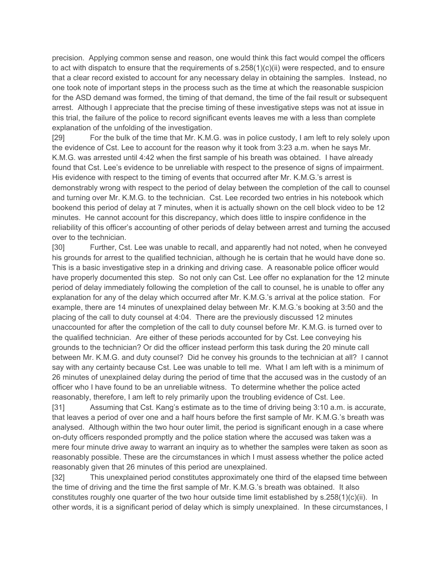precision. Applying common sense and reason, one would think this fact would compel the officers to act with dispatch to ensure that the requirements of s.258(1)(c)(ii) were respected, and to ensure that a clear record existed to account for any necessary delay in obtaining the samples. Instead, no one took note of important steps in the process such as the time at which the reasonable suspicion for the ASD demand was formed, the timing of that demand, the time of the fail result or subsequent arrest. Although I appreciate that the precise timing of these investigative steps was not at issue in this trial, the failure of the police to record significant events leaves me with a less than complete explanation of the unfolding of the investigation.

[29] For the bulk of the time that Mr. K.M.G. was in police custody, I am left to rely solely upon the evidence of Cst. Lee to account for the reason why it took from 3:23 a.m. when he says Mr. K.M.G. was arrested until 4:42 when the first sample of his breath was obtained. I have already found that Cst. Lee's evidence to be unreliable with respect to the presence of signs of impairment. His evidence with respect to the timing of events that occurred after Mr. K.M.G.'s arrest is demonstrably wrong with respect to the period of delay between the completion of the call to counsel and turning over Mr. K.M.G. to the technician. Cst. Lee recorded two entries in his notebook which bookend this period of delay at 7 minutes, when it is actually shown on the cell block video to be 12 minutes. He cannot account for this discrepancy, which does little to inspire confidence in the reliability of this officer's accounting of other periods of delay between arrest and turning the accused over to the technician.

[30] Further, Cst. Lee was unable to recall, and apparently had not noted, when he conveyed his grounds for arrest to the qualified technician, although he is certain that he would have done so. This is a basic investigative step in a drinking and driving case. A reasonable police officer would have properly documented this step. So not only can Cst. Lee offer no explanation for the 12 minute period of delay immediately following the completion of the call to counsel, he is unable to offer any explanation for any of the delay which occurred after Mr. K.M.G.'s arrival at the police station. For example, there are 14 minutes of unexplained delay between Mr. K.M.G.'s booking at 3:50 and the placing of the call to duty counsel at 4:04. There are the previously discussed 12 minutes unaccounted for after the completion of the call to duty counsel before Mr. K.M.G. is turned over to the qualified technician. Are either of these periods accounted for by Cst. Lee conveying his grounds to the technician? Or did the officer instead perform this task during the 20 minute call between Mr. K.M.G. and duty counsel? Did he convey his grounds to the technician at all? I cannot say with any certainty because Cst. Lee was unable to tell me. What I am left with is a minimum of 26 minutes of unexplained delay during the period of time that the accused was in the custody of an officer who I have found to be an unreliable witness. To determine whether the police acted reasonably, therefore, I am left to rely primarily upon the troubling evidence of Cst. Lee.

[31] Assuming that Cst. Kang's estimate as to the time of driving being 3:10 a.m. is accurate, that leaves a period of over one and a half hours before the first sample of Mr. K.M.G.'s breath was analysed. Although within the two hour outer limit, the period is significant enough in a case where on-duty officers responded promptly and the police station where the accused was taken was a mere four minute drive away to warrant an inquiry as to whether the samples were taken as soon as reasonably possible. These are the circumstances in which I must assess whether the police acted reasonably given that 26 minutes of this period are unexplained.

[32] This unexplained period constitutes approximately one third of the elapsed time between the time of driving and the time the first sample of Mr. K.M.G.'s breath was obtained. It also constitutes roughly one quarter of the two hour outside time limit established by s.258(1)(c)(ii). In other words, it is a significant period of delay which is simply unexplained. In these circumstances, I